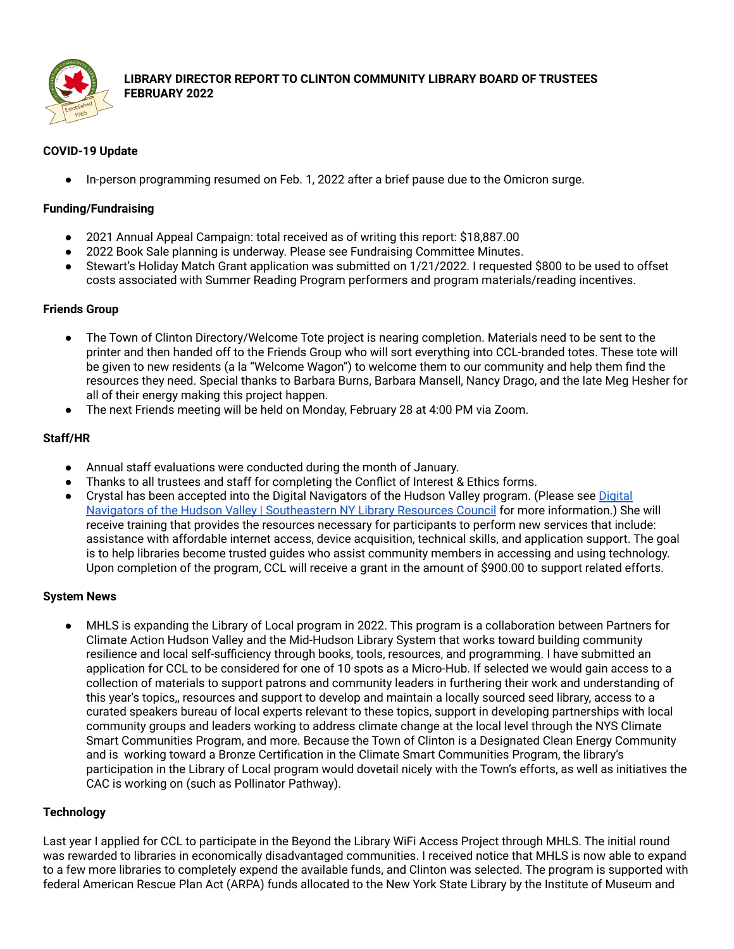

**LIBRARY DIRECTOR REPORT TO CLINTON COMMUNITY LIBRARY BOARD OF TRUSTEES FEBRUARY 2022**

# **COVID-19 Update**

In-person programming resumed on Feb. 1, 2022 after a brief pause due to the Omicron surge.

#### **Funding/Fundraising**

- 2021 Annual Appeal Campaign: total received as of writing this report: \$18,887.00
- 2022 Book Sale planning is underway. Please see Fundraising Committee Minutes.
- Stewart's Holiday Match Grant application was submitted on 1/21/2022. I requested \$800 to be used to offset costs associated with Summer Reading Program performers and program materials/reading incentives.

#### **Friends Group**

- The Town of Clinton Directory/Welcome Tote project is nearing completion. Materials need to be sent to the printer and then handed off to the Friends Group who will sort everything into CCL-branded totes. These tote will be given to new residents (a la "Welcome Wagon") to welcome them to our community and help them find the resources they need. Special thanks to Barbara Burns, Barbara Mansell, Nancy Drago, and the late Meg Hesher for all of their energy making this project happen.
- The next Friends meeting will be held on Monday, February 28 at 4:00 PM via Zoom.

### **Staff/HR**

- Annual staff evaluations were conducted during the month of January.
- Thanks to all trustees and staff for completing the Conflict of Interest & Ethics forms.
- Crystal has been accepted into the [Digital](https://www.senylrc.org/DigitalNavigatorsOfTheHudsonValley) Navigators of the Hudson Valley program. (Please see Digital Navigators of the Hudson Valley | [Southeastern](https://www.senylrc.org/DigitalNavigatorsOfTheHudsonValley) NY Library Resources Council for more information.) She will receive training that provides the resources necessary for participants to perform new services that include: assistance with affordable internet access, device acquisition, technical skills, and application support. The goal is to help libraries become trusted guides who assist community members in accessing and using technology. Upon completion of the program, CCL will receive a grant in the amount of \$900.00 to support related efforts.

#### **System News**

MHLS is expanding the Library of Local program in 2022. This program is a collaboration between Partners for Climate Action Hudson Valley and the Mid-Hudson Library System that works toward building community resilience and local self-sufficiency through books, tools, resources, and programming. I have submitted an application for CCL to be considered for one of 10 spots as a Micro-Hub. If selected we would gain access to a collection of materials to support patrons and community leaders in furthering their work and understanding of this year's topics,, resources and support to develop and maintain a locally sourced seed library, access to a curated speakers bureau of local experts relevant to these topics, support in developing partnerships with local community groups and leaders working to address climate change at the local level through the NYS Climate Smart Communities Program, and more. Because the Town of Clinton is a Designated Clean Energy Community and is working toward a Bronze Certification in the Climate Smart Communities Program, the library's participation in the Library of Local program would dovetail nicely with the Town's efforts, as well as initiatives the CAC is working on (such as Pollinator Pathway).

#### **Technology**

Last year I applied for CCL to participate in the Beyond the Library WiFi Access Project through MHLS. The initial round was rewarded to libraries in economically disadvantaged communities. I received notice that MHLS is now able to expand to a few more libraries to completely expend the available funds, and Clinton was selected. The program is supported with federal American Rescue Plan Act (ARPA) funds allocated to the New York State Library by the Institute of Museum and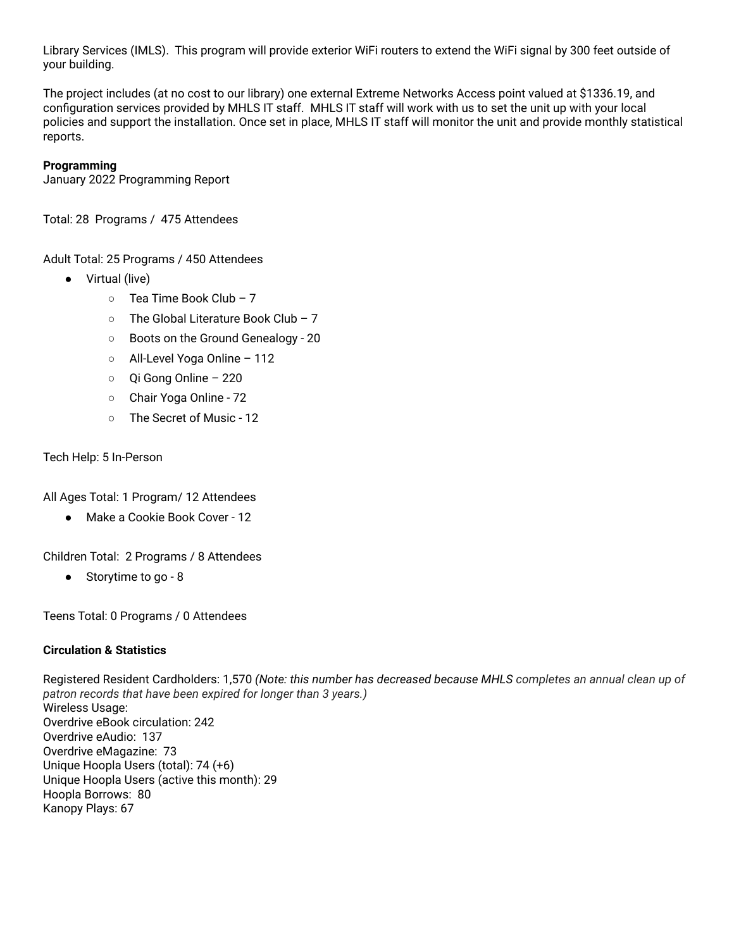Library Services (IMLS). This program will provide exterior WiFi routers to extend the WiFi signal by 300 feet outside of your building.

The project includes (at no cost to our library) one external Extreme Networks Access point valued at \$1336.19, and configuration services provided by MHLS IT staff. MHLS IT staff will work with us to set the unit up with your local policies and support the installation. Once set in place, MHLS IT staff will monitor the unit and provide monthly statistical reports.

# **Programming**

January 2022 Programming Report

Total: 28 Programs / 475 Attendees

Adult Total: 25 Programs / 450 Attendees

- Virtual (live)
	- $\circ$  Tea Time Book Club 7
	- The Global Literature Book Club 7
	- Boots on the Ground Genealogy 20
	- All-Level Yoga Online 112
	- Qi Gong Online 220
	- Chair Yoga Online 72
	- The Secret of Music 12

#### Tech Help: 5 In-Person

All Ages Total: 1 Program/ 12 Attendees

● Make a Cookie Book Cover - 12

Children Total: 2 Programs / 8 Attendees

● Storytime to go - 8

Teens Total: 0 Programs / 0 Attendees

#### **Circulation & Statistics**

Registered Resident Cardholders: 1,570 *(Note: this number has decreased because MHLS completes an annual clean up of patron records that have been expired for longer than 3 years.)* Wireless Usage: Overdrive eBook circulation: 242 Overdrive eAudio: 137 Overdrive eMagazine: 73 Unique Hoopla Users (total): 74 (+6) Unique Hoopla Users (active this month): 29 Hoopla Borrows: 80 Kanopy Plays: 67